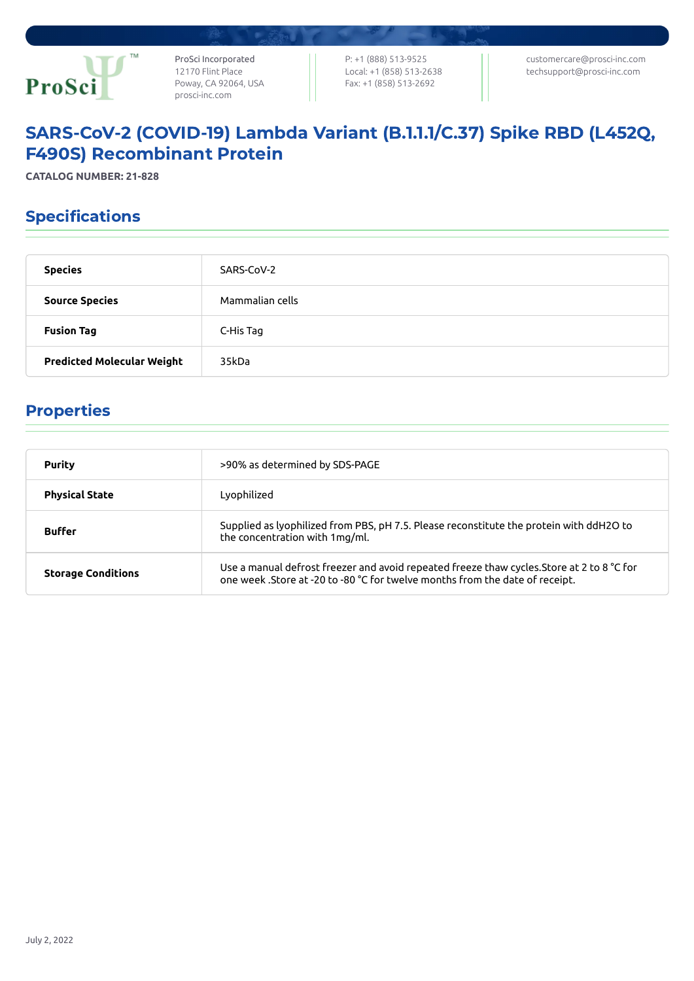

ProSci Incorporated 12170 Flint Place Poway, CA 92064, USA [prosci-inc.com](https://prosci-inc.com/)

P: +1 (888) 513-9525 Local: +1 (858) 513-2638 Fax: +1 (858) 513-2692

[customercare@prosci-inc.com](mailto:customercare@prosci-inc.com) [techsupport@prosci-inc.com](mailto:techsupport@prosci-inc.com)

# SARS-CoV-2 (COVID-19) Lambda Variant (B.1.1.1/C.37) Spike RBD (L452Q, F490S) Recombinant Protein

**CATALOG NUMBER: 21-828**

## Specifications

| <b>Species</b>                    | SARS-CoV-2      |
|-----------------------------------|-----------------|
| <b>Source Species</b>             | Mammalian cells |
| <b>Fusion Tag</b>                 | C-His Tag       |
| <b>Predicted Molecular Weight</b> | 35kDa           |

### Properties

| Purity                    | >90% as determined by SDS-PAGE                                                                                                                                             |
|---------------------------|----------------------------------------------------------------------------------------------------------------------------------------------------------------------------|
| <b>Physical State</b>     | Lyophilized                                                                                                                                                                |
| <b>Buffer</b>             | Supplied as lyophilized from PBS, pH 7.5. Please reconstitute the protein with ddH2O to<br>the concentration with 1mg/ml.                                                  |
| <b>Storage Conditions</b> | Use a manual defrost freezer and avoid repeated freeze thaw cycles. Store at 2 to 8 °C for<br>one week .Store at -20 to -80 °C for twelve months from the date of receipt. |